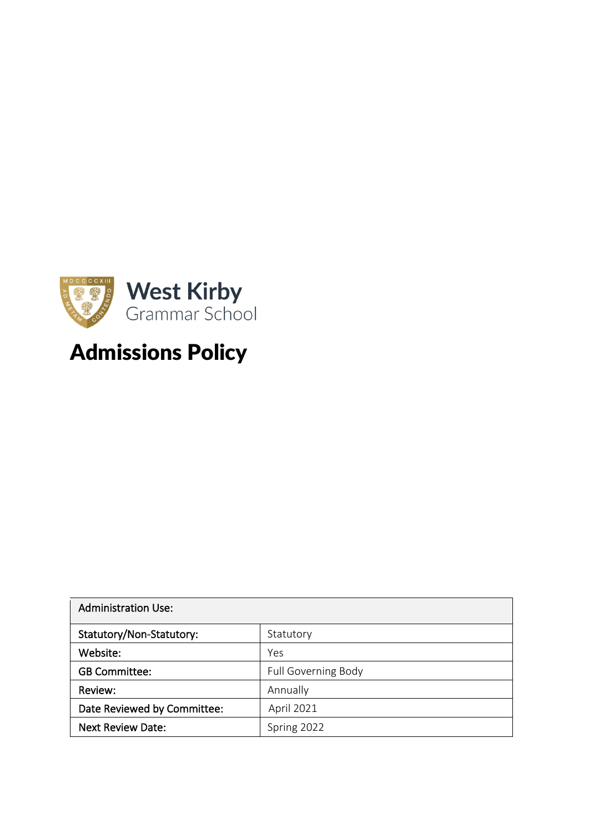

# Admissions Policy

| <b>Administration Use:</b>  |                            |
|-----------------------------|----------------------------|
| Statutory/Non-Statutory:    | Statutory                  |
| Website:                    | Yes                        |
| <b>GB Committee:</b>        | <b>Full Governing Body</b> |
| Review:                     | Annually                   |
| Date Reviewed by Committee: | April 2021                 |
| <b>Next Review Date:</b>    | Spring 2022                |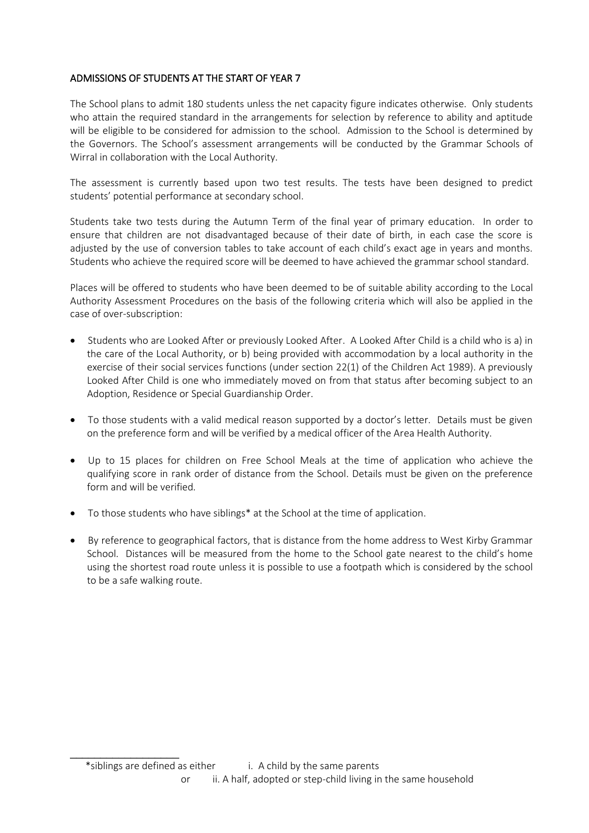## ADMISSIONS OF STUDENTS AT THE START OF YEAR 7

The School plans to admit 180 students unless the net capacity figure indicates otherwise. Only students who attain the required standard in the arrangements for selection by reference to ability and aptitude will be eligible to be considered for admission to the school. Admission to the School is determined by the Governors. The School's assessment arrangements will be conducted by the Grammar Schools of Wirral in collaboration with the Local Authority.

The assessment is currently based upon two test results. The tests have been designed to predict students' potential performance at secondary school.

Students take two tests during the Autumn Term of the final year of primary education. In order to ensure that children are not disadvantaged because of their date of birth, in each case the score is adjusted by the use of conversion tables to take account of each child's exact age in years and months. Students who achieve the required score will be deemed to have achieved the grammar school standard.

Places will be offered to students who have been deemed to be of suitable ability according to the Local Authority Assessment Procedures on the basis of the following criteria which will also be applied in the case of over-subscription:

- Students who are Looked After or previously Looked After. A Looked After Child is a child who is a) in the care of the Local Authority, or b) being provided with accommodation by a local authority in the exercise of their social services functions (under section 22(1) of the Children Act 1989). A previously Looked After Child is one who immediately moved on from that status after becoming subject to an Adoption, Residence or Special Guardianship Order.
- To those students with a valid medical reason supported by a doctor's letter. Details must be given on the preference form and will be verified by a medical officer of the Area Health Authority.
- Up to 15 places for children on Free School Meals at the time of application who achieve the qualifying score in rank order of distance from the School. Details must be given on the preference form and will be verified*.*
- To those students who have siblings\* at the School at the time of application.
- By reference to geographical factors, that is distance from the home address to West Kirby Grammar School. Distances will be measured from the home to the School gate nearest to the child's home using the shortest road route unless it is possible to use a footpath which is considered by the school to be a safe walking route.

\_\_\_\_\_\_\_\_\_\_\_\_\_\_\_\_\_\_